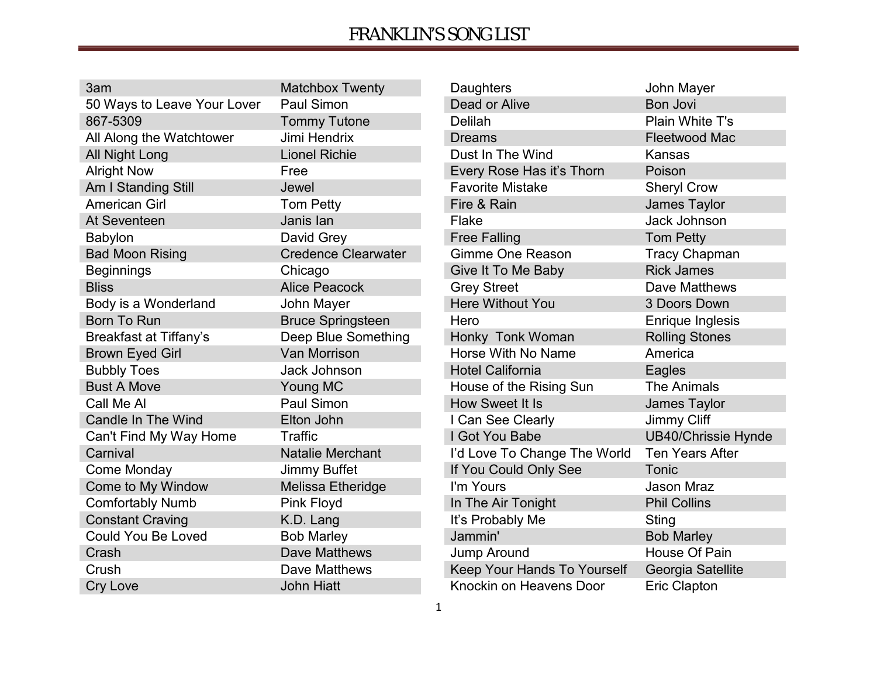| 3am                           | <b>Matchbox Twenty</b>     |
|-------------------------------|----------------------------|
| 50 Ways to Leave Your Lover   | <b>Paul Simon</b>          |
| 867-5309                      | <b>Tommy Tutone</b>        |
| All Along the Watchtower      | Jimi Hendrix               |
| All Night Long                | <b>Lionel Richie</b>       |
| <b>Alright Now</b>            | Free                       |
| Am I Standing Still           | Jewel                      |
| <b>American Girl</b>          | <b>Tom Petty</b>           |
| At Seventeen                  | Janis lan                  |
| <b>Babylon</b>                | David Grey                 |
| <b>Bad Moon Rising</b>        | <b>Credence Clearwater</b> |
| <b>Beginnings</b>             | Chicago                    |
| <b>Bliss</b>                  | <b>Alice Peacock</b>       |
| Body is a Wonderland          | John Mayer                 |
| <b>Born To Run</b>            | <b>Bruce Springsteen</b>   |
| <b>Breakfast at Tiffany's</b> | Deep Blue Something        |
| <b>Brown Eyed Girl</b>        | <b>Van Morrison</b>        |
| <b>Bubbly Toes</b>            | <b>Jack Johnson</b>        |
| <b>Bust A Move</b>            | Young MC                   |
| Call Me Al                    | Paul Simon                 |
| <b>Candle In The Wind</b>     | Elton John                 |
| Can't Find My Way Home        | Traffic                    |
| Carnival                      | <b>Natalie Merchant</b>    |
| Come Monday                   | <b>Jimmy Buffet</b>        |
| Come to My Window             | Melissa Etheridge          |
| <b>Comfortably Numb</b>       | Pink Floyd                 |
| <b>Constant Craving</b>       | K.D. Lang                  |
| <b>Could You Be Loved</b>     | <b>Bob Marley</b>          |
| Crash                         | <b>Dave Matthews</b>       |
| Crush                         | Dave Matthews              |
| <b>Cry Love</b>               | <b>John Hiatt</b>          |

| Daughters                    | John Mayer                 |
|------------------------------|----------------------------|
| <b>Dead or Alive</b>         | <b>Bon Jovi</b>            |
| <b>Delilah</b>               | Plain White T's            |
| <b>Dreams</b>                | <b>Fleetwood Mac</b>       |
| Dust In The Wind             | Kansas                     |
| Every Rose Has it's Thorn    | Poison                     |
| <b>Favorite Mistake</b>      | <b>Sheryl Crow</b>         |
| Fire & Rain                  | James Taylor               |
| Flake                        | <b>Jack Johnson</b>        |
| <b>Free Falling</b>          | <b>Tom Petty</b>           |
| <b>Gimme One Reason</b>      | <b>Tracy Chapman</b>       |
| Give It To Me Baby           | <b>Rick James</b>          |
| <b>Grey Street</b>           | Dave Matthews              |
| <b>Here Without You</b>      | 3 Doors Down               |
| Hero                         | <b>Enrique Inglesis</b>    |
| Honky Tonk Woman             | <b>Rolling Stones</b>      |
| Horse With No Name           | America                    |
| <b>Hotel California</b>      | Eagles                     |
| House of the Rising Sun      | <b>The Animals</b>         |
| How Sweet It Is              | James Taylor               |
| I Can See Clearly            | <b>Jimmy Cliff</b>         |
| I Got You Babe               | <b>UB40/Chrissie Hynde</b> |
| I'd Love To Change The World | <b>Ten Years After</b>     |
| If You Could Only See        | Tonic                      |
| I'm Yours                    | Jason Mraz                 |
| In The Air Tonight           | <b>Phil Collins</b>        |
| It's Probably Me             | Sting                      |
| Jammin'                      | <b>Bob Marley</b>          |
| Jump Around                  | <b>House Of Pain</b>       |
| Keep Your Hands To Yourself  | Georgia Satellite          |
| Knockin on Heavens Door      | <b>Eric Clapton</b>        |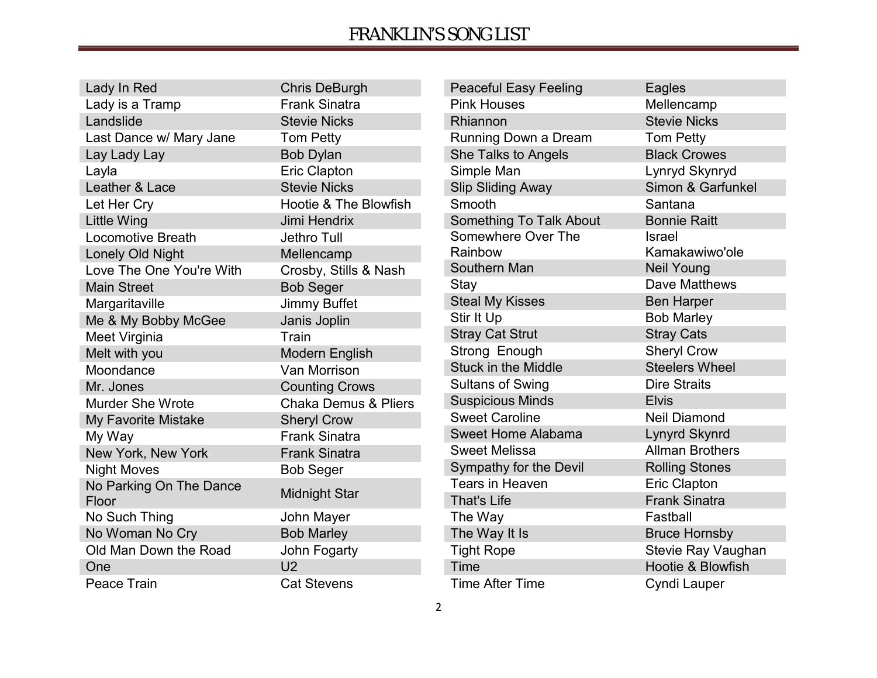| Lady In Red              | <b>Chris DeBurgh</b>             | <b>Peaceful Easy Feeling</b> | Eagles                 |
|--------------------------|----------------------------------|------------------------------|------------------------|
| Lady is a Tramp          | <b>Frank Sinatra</b>             | <b>Pink Houses</b>           | Mellencamp             |
| Landslide                | <b>Stevie Nicks</b>              | Rhiannon                     | <b>Stevie Nicks</b>    |
| Last Dance w/ Mary Jane  | <b>Tom Petty</b>                 | Running Down a Dream         | Tom Petty              |
| Lay Lady Lay             | <b>Bob Dylan</b>                 | She Talks to Angels          | <b>Black Crowes</b>    |
| Layla                    | Eric Clapton                     | Simple Man                   | Lynryd Skynryd         |
| Leather & Lace           | <b>Stevie Nicks</b>              | <b>Slip Sliding Away</b>     | Simon & Garfunkel      |
| Let Her Cry              | <b>Hootie &amp; The Blowfish</b> | Smooth                       | Santana                |
| <b>Little Wing</b>       | Jimi Hendrix                     | Something To Talk About      | <b>Bonnie Raitt</b>    |
| <b>Locomotive Breath</b> | Jethro Tull                      | Somewhere Over The           | <b>Israel</b>          |
| Lonely Old Night         | Mellencamp                       | Rainbow                      | Kamakawiwo'ole         |
| Love The One You're With | Crosby, Stills & Nash            | Southern Man                 | <b>Neil Young</b>      |
| <b>Main Street</b>       | <b>Bob Seger</b>                 | Stay                         | Dave Matthews          |
| Margaritaville           | Jimmy Buffet                     | <b>Steal My Kisses</b>       | <b>Ben Harper</b>      |
| Me & My Bobby McGee      | Janis Joplin                     | Stir It Up                   | <b>Bob Marley</b>      |
| Meet Virginia            | Train                            | <b>Stray Cat Strut</b>       | <b>Stray Cats</b>      |
| Melt with you            | Modern English                   | Strong Enough                | <b>Sheryl Crow</b>     |
| Moondance                | Van Morrison                     | <b>Stuck in the Middle</b>   | <b>Steelers Wheel</b>  |
| Mr. Jones                | <b>Counting Crows</b>            | <b>Sultans of Swing</b>      | <b>Dire Straits</b>    |
| <b>Murder She Wrote</b>  | <b>Chaka Demus &amp; Pliers</b>  | <b>Suspicious Minds</b>      | <b>Elvis</b>           |
| My Favorite Mistake      | <b>Sheryl Crow</b>               | <b>Sweet Caroline</b>        | <b>Neil Diamond</b>    |
| My Way                   | <b>Frank Sinatra</b>             | Sweet Home Alabama           | Lynyrd Skynrd          |
| New York, New York       | <b>Frank Sinatra</b>             | <b>Sweet Melissa</b>         | <b>Allman Brothers</b> |
| <b>Night Moves</b>       | <b>Bob Seger</b>                 | Sympathy for the Devil       | <b>Rolling Stones</b>  |
| No Parking On The Dance  |                                  | Tears in Heaven              | Eric Clapton           |
| Floor                    | <b>Midnight Star</b>             | <b>That's Life</b>           | <b>Frank Sinatra</b>   |
| No Such Thing            | John Mayer                       | The Way                      | Fastball               |
| No Woman No Cry          | <b>Bob Marley</b>                | The Way It Is                | <b>Bruce Hornsby</b>   |
| Old Man Down the Road    | John Fogarty                     | <b>Tight Rope</b>            | Stevie Ray Vaughan     |
| One                      | U <sub>2</sub>                   | <b>Time</b>                  | Hootie & Blowfish      |
| Peace Train              | <b>Cat Stevens</b>               | Time After Time              | Cyndi Lauper           |